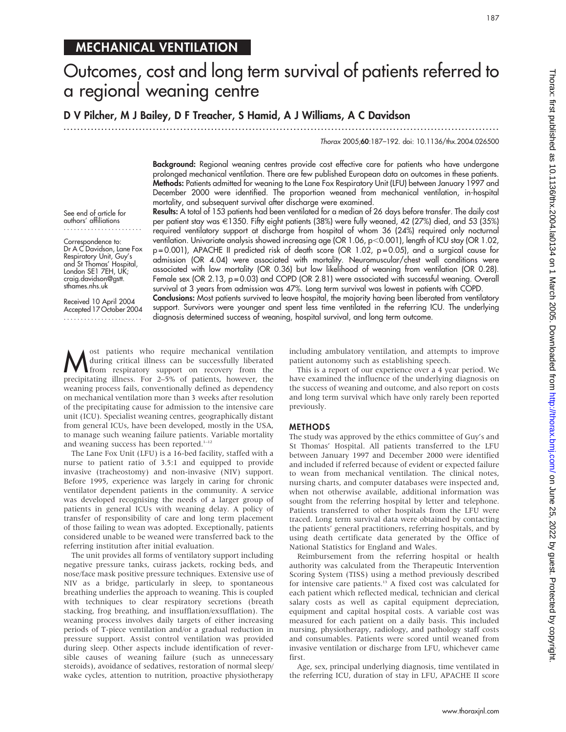## MECHANICAL VENTILATION

# Outcomes, cost and long term survival of patients referred to a regional weaning centre

D V Pilcher, M J Bailey, D F Treacher, S Hamid, A J Williams, A C Davidson

...............................................................................................................................

Thorax 2005;60:187–192. doi: 10.1136/thx.2004.026500

Background: Regional weaning centres provide cost effective care for patients who have undergone prolonged mechanical ventilation. There are few published European data on outcomes in these patients. Methods: Patients admitted for weaning to the Lane Fox Respiratory Unit (LFU) between January 1997 and December 2000 were identified. The proportion weaned from mechanical ventilation, in-hospital mortality, and subsequent survival after discharge were examined.

See end of article for authors' affiliations .......................

Correspondence to: Dr A C Davidson, Lane Fox Respiratory Unit, Guy's and St Thomas' Hospital, London SE1 7EH, UK; craig.davidson@gstt. sthames.nhs.uk

Received 10 April 2004 Accepted 17 October 2004 .......................

Results: A total of 153 patients had been ventilated for a median of 26 days before transfer. The daily cost per patient stay was  $\in$ 1350. Fifty eight patients (38%) were fully weaned, 42 (27%) died, and 53 (35%) required ventilatory support at discharge from hospital of whom 36 (24%) required only nocturnal ventilation. Univariate analysis showed increasing age (OR  $1.06$ , p $<$ 0.001), length of ICU stay (OR  $1.02$ , p = 0.001), APACHE II predicted risk of death score (OR 1.02, p = 0.05), and a surgical cause for admission (OR 4.04) were associated with mortality. Neuromuscular/chest wall conditions were associated with low mortality (OR 0.36) but low likelihood of weaning from ventilation (OR 0.28). Female sex (OR 2.13, p=0.03) and COPD (OR 2.81) were associated with successful weaning. Overall survival at 3 years from admission was 47%. Long term survival was lowest in patients with COPD.

Conclusions: Most patients survived to leave hospital, the majority having been liberated from ventilatory support. Survivors were younger and spent less time ventilated in the referring ICU. The underlying diagnosis determined success of weaning, hospital survival, and long term outcome.

**M** ost patients who require mechanical ventilation<br>from respiratory support on recovery from the<br>processitating illness. For 2.5% of patients, bouwwr, the during critical illness can be successfully liberated precipitating illness. For 2–5% of patients, however, the weaning process fails, conventionally defined as dependency on mechanical ventilation more than 3 weeks after resolution of the precipitating cause for admission to the intensive care unit (ICU). Specialist weaning centres, geographically distant from general ICUs, have been developed, mostly in the USA, to manage such weaning failure patients. Variable mortality and weaning success has been reported.<sup>1-12</sup>

The Lane Fox Unit (LFU) is a 16-bed facility, staffed with a nurse to patient ratio of 3.5:1 and equipped to provide invasive (tracheostomy) and non-invasive (NIV) support. Before 1995, experience was largely in caring for chronic ventilator dependent patients in the community. A service was developed recognising the needs of a larger group of patients in general ICUs with weaning delay. A policy of transfer of responsibility of care and long term placement of those failing to wean was adopted. Exceptionally, patients considered unable to be weaned were transferred back to the referring institution after initial evaluation.

The unit provides all forms of ventilatory support including negative pressure tanks, cuirass jackets, rocking beds, and nose/face mask positive pressure techniques. Extensive use of NIV as a bridge, particularly in sleep, to spontaneous breathing underlies the approach to weaning. This is coupled with techniques to clear respiratory secretions (breath stacking, frog breathing, and insufflation/exsufflation). The weaning process involves daily targets of either increasing periods of T-piece ventilation and/or a gradual reduction in pressure support. Assist control ventilation was provided during sleep. Other aspects include identification of reversible causes of weaning failure (such as unnecessary steroids), avoidance of sedatives, restoration of normal sleep/ wake cycles, attention to nutrition, proactive physiotherapy including ambulatory ventilation, and attempts to improve patient autonomy such as establishing speech.

This is a report of our experience over a 4 year period. We have examined the influence of the underlying diagnosis on the success of weaning and outcome, and also report on costs and long term survival which have only rarely been reported previously.

#### METHODS

The study was approved by the ethics committee of Guy's and St Thomas' Hospital. All patients transferred to the LFU between January 1997 and December 2000 were identified and included if referred because of evident or expected failure to wean from mechanical ventilation. The clinical notes, nursing charts, and computer databases were inspected and, when not otherwise available, additional information was sought from the referring hospital by letter and telephone. Patients transferred to other hospitals from the LFU were traced. Long term survival data were obtained by contacting the patients' general practitioners, referring hospitals, and by using death certificate data generated by the Office of National Statistics for England and Wales.

Reimbursement from the referring hospital or health authority was calculated from the Therapeutic Intervention Scoring System (TISS) using a method previously described for intensive care patients.<sup>13</sup> A fixed cost was calculated for each patient which reflected medical, technician and clerical salary costs as well as capital equipment depreciation, equipment and capital hospital costs. A variable cost was measured for each patient on a daily basis. This included nursing, physiotherapy, radiology, and pathology staff costs and consumables. Patients were scored until weaned from invasive ventilation or discharge from LFU, whichever came first.

Age, sex, principal underlying diagnosis, time ventilated in the referring ICU, duration of stay in LFU, APACHE II score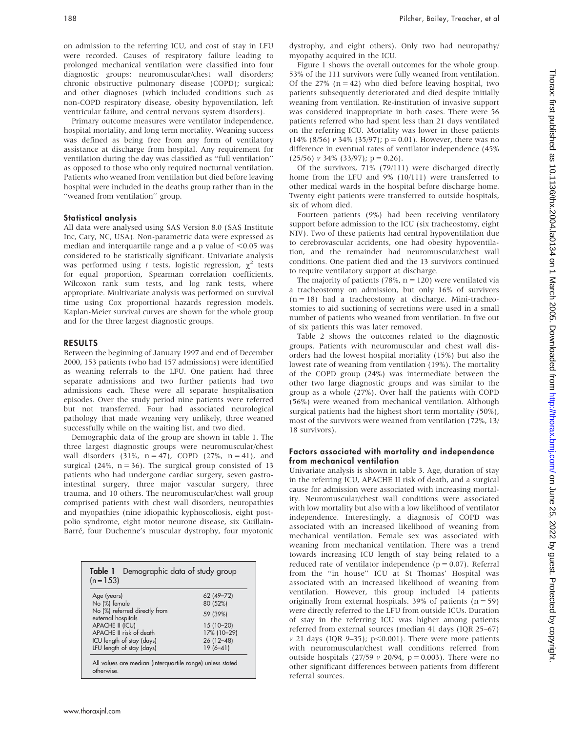on admission to the referring ICU, and cost of stay in LFU were recorded. Causes of respiratory failure leading to prolonged mechanical ventilation were classified into four diagnostic groups: neuromuscular/chest wall disorders; chronic obstructive pulmonary disease (COPD); surgical; and other diagnoses (which included conditions such as non-COPD respiratory disease, obesity hypoventilation, left ventricular failure, and central nervous system disorders).

Primary outcome measures were ventilator independence, hospital mortality, and long term mortality. Weaning success was defined as being free from any form of ventilatory assistance at discharge from hospital. Any requirement for ventilation during the day was classified as ''full ventilation'' as opposed to those who only required nocturnal ventilation. Patients who weaned from ventilation but died before leaving hospital were included in the deaths group rather than in the ''weaned from ventilation'' group.

## Statistical analysis

All data were analysed using SAS Version 8.0 (SAS Institute Inc, Cary, NC, USA). Non-parametric data were expressed as median and interquartile range and a p value of  $< 0.05$  was considered to be statistically significant. Univariate analysis was performed using t tests, logistic regression,  $\chi^2$  tests for equal proportion, Spearman correlation coefficients, Wilcoxon rank sum tests, and log rank tests, where appropriate. Multivariate analysis was performed on survival time using Cox proportional hazards regression models. Kaplan-Meier survival curves are shown for the whole group and for the three largest diagnostic groups.

## RESULTS

Between the beginning of January 1997 and end of December 2000, 153 patients (who had 157 admissions) were identified as weaning referrals to the LFU. One patient had three separate admissions and two further patients had two admissions each. These were all separate hospitalisation episodes. Over the study period nine patients were referred but not transferred. Four had associated neurological pathology that made weaning very unlikely, three weaned successfully while on the waiting list, and two died.

Demographic data of the group are shown in table 1. The three largest diagnostic groups were neuromuscular/chest wall disorders  $(31\%, n = 47)$ , COPD  $(27\%, n = 41)$ , and surgical (24%,  $n = 36$ ). The surgical group consisted of 13 patients who had undergone cardiac surgery, seven gastrointestinal surgery, three major vascular surgery, three trauma, and 10 others. The neuromuscular/chest wall group comprised patients with chest wall disorders, neuropathies and myopathies (nine idiopathic kyphoscoliosis, eight postpolio syndrome, eight motor neurone disease, six Guillain-Barré, four Duchenne's muscular dystrophy, four myotonic

| Demographic data of study group<br>Table 1<br>$(n = 153)$               |                        |  |  |  |
|-------------------------------------------------------------------------|------------------------|--|--|--|
| Age (years)<br>No (%) female                                            | 62 (49-72)<br>80 (52%) |  |  |  |
| No (%) referred directly from<br>external hospitals                     | 59 (39%)               |  |  |  |
| <b>APACHE II (ICU)</b>                                                  | 15 (10-20)             |  |  |  |
| APACHE II risk of death                                                 | 17% (10-29)            |  |  |  |
| ICU length of stay (days)                                               | $26(12-48)$            |  |  |  |
| LFU length of stay (days)                                               | $19(6 - 41)$           |  |  |  |
| All values are median (interquartile range) unless stated<br>otherwise. |                        |  |  |  |

dystrophy, and eight others). Only two had neuropathy/ myopathy acquired in the ICU.

Figure 1 shows the overall outcomes for the whole group. 53% of the 111 survivors were fully weaned from ventilation. Of the 27% ( $n = 42$ ) who died before leaving hospital, two patients subsequently deteriorated and died despite initially weaning from ventilation. Re-institution of invasive support was considered inappropriate in both cases. There were 56 patients referred who had spent less than 21 days ventilated on the referring ICU. Mortality was lower in these patients (14% (8/56)  $\nu$  34% (35/97); p = 0.01). However, there was no difference in eventual rates of ventilator independence (45%  $(25/56)$  v 34%  $(33/97)$ ; p = 0.26).

Of the survivors, 71% (79/111) were discharged directly home from the LFU and 9% (10/111) were transferred to other medical wards in the hospital before discharge home. Twenty eight patients were transferred to outside hospitals, six of whom died.

Fourteen patients (9%) had been receiving ventilatory support before admission to the ICU (six tracheostomy, eight NIV). Two of these patients had central hypoventilation due to cerebrovascular accidents, one had obesity hypoventilation, and the remainder had neuromuscular/chest wall conditions. One patient died and the 13 survivors continued to require ventilatory support at discharge.

The majority of patients (78%,  $n = 120$ ) were ventilated via a tracheostomy on admission, but only 16% of survivors  $(n = 18)$  had a tracheostomy at discharge. Mini-tracheostomies to aid suctioning of secretions were used in a small number of patients who weaned from ventilation. In five out of six patients this was later removed.

Table 2 shows the outcomes related to the diagnostic groups. Patients with neuromuscular and chest wall disorders had the lowest hospital mortality (15%) but also the lowest rate of weaning from ventilation (19%). The mortality of the COPD group (24%) was intermediate between the other two large diagnostic groups and was similar to the group as a whole (27%). Over half the patients with COPD (56%) were weaned from mechanical ventilation. Although surgical patients had the highest short term mortality (50%), most of the survivors were weaned from ventilation (72%, 13/ 18 survivors).

## Factors associated with mortality and independence from mechanical ventilation

Univariate analysis is shown in table 3. Age, duration of stay in the referring ICU, APACHE II risk of death, and a surgical cause for admission were associated with increasing mortality. Neuromuscular/chest wall conditions were associated with low mortality but also with a low likelihood of ventilator independence. Interestingly, a diagnosis of COPD was associated with an increased likelihood of weaning from mechanical ventilation. Female sex was associated with weaning from mechanical ventilation. There was a trend towards increasing ICU length of stay being related to a reduced rate of ventilator independence ( $p = 0.07$ ). Referral from the ''in house'' ICU at St Thomas' Hospital was associated with an increased likelihood of weaning from ventilation. However, this group included 14 patients originally from external hospitals. 39% of patients  $(n = 59)$ were directly referred to the LFU from outside ICUs. Duration of stay in the referring ICU was higher among patients referred from external sources (median 41 days (IQR 25–67)  $v$  21 days (IQR 9-35); p<0.001). There were more patients with neuromuscular/chest wall conditions referred from outside hospitals (27/59  $v$  20/94, p = 0.003). There were no other significant differences between patients from different referral sources.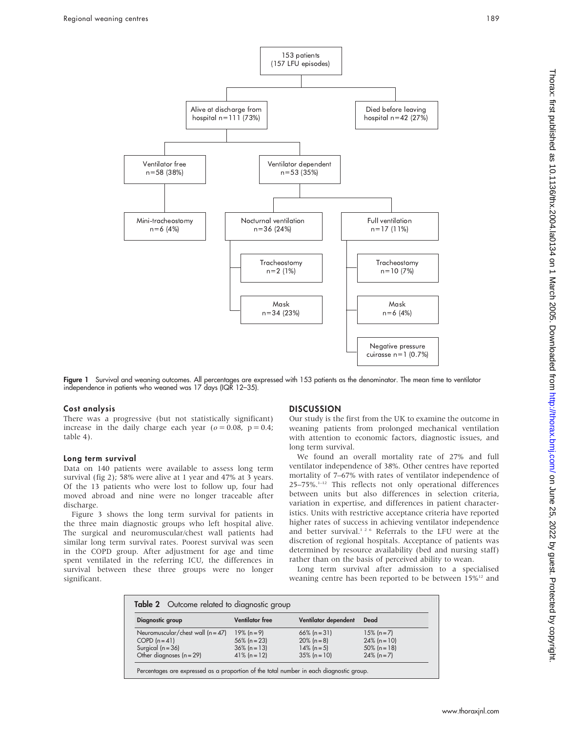

Figure 1 Survival and weaning outcomes. All percentages are expressed with 153 patients as the denominator. The mean time to ventilator independence in patients who weaned was 17 days (IQR 12–35).

## Cost analysis

There was a progressive (but not statistically significant) increase in the daily charge each year ( $o = 0.08$ ,  $p = 0.4$ ; table 4).

## Long term survival

Data on 140 patients were available to assess long term survival (fig 2); 58% were alive at 1 year and 47% at 3 years. Of the 13 patients who were lost to follow up, four had moved abroad and nine were no longer traceable after discharge.

Figure 3 shows the long term survival for patients in the three main diagnostic groups who left hospital alive. The surgical and neuromuscular/chest wall patients had similar long term survival rates. Poorest survival was seen in the COPD group. After adjustment for age and time spent ventilated in the referring ICU, the differences in survival between these three groups were no longer significant.

## **DISCUSSION**

Our study is the first from the UK to examine the outcome in weaning patients from prolonged mechanical ventilation with attention to economic factors, diagnostic issues, and long term survival.

We found an overall mortality rate of 27% and full ventilator independence of 38%. Other centres have reported mortality of 7–67% with rates of ventilator independence of 25–75%.1–12 This reflects not only operational differences between units but also differences in selection criteria, variation in expertise, and differences in patient characteristics. Units with restrictive acceptance criteria have reported higher rates of success in achieving ventilator independence and better survival.<sup>126</sup> Referrals to the LFU were at the discretion of regional hospitals. Acceptance of patients was determined by resource availability (bed and nursing staff) rather than on the basis of perceived ability to wean.

Long term survival after admission to a specialised weaning centre has been reported to be between  $15\%^{12}$  and

| Diagnostic group                    | <b>Ventilator</b> free | Ventilator dependent | Dead            |
|-------------------------------------|------------------------|----------------------|-----------------|
| Neuromuscular/chest wall $(n = 47)$ | $19\%$ (n = 9)         | $66\%$ (n = 31)      | $15\%$ (n = 7)  |
| COPD $(n=41)$                       | $56\%$ (n = 23)        | $20\%$ (n = 8)       | $24\%$ (n = 10) |
| Surgical $(n = 36)$                 | $36\%$ (n = 13)        | $14\%$ (n = 5)       | $50\%$ (n = 18) |
| Other diagnoses $(n = 29)$          | $41\%$ (n = 12)        | $35\%$ (n = 10)      | $24\%$ (n = 7)  |

Percentages are expressed as a proportion of the total number in each diagnostic group.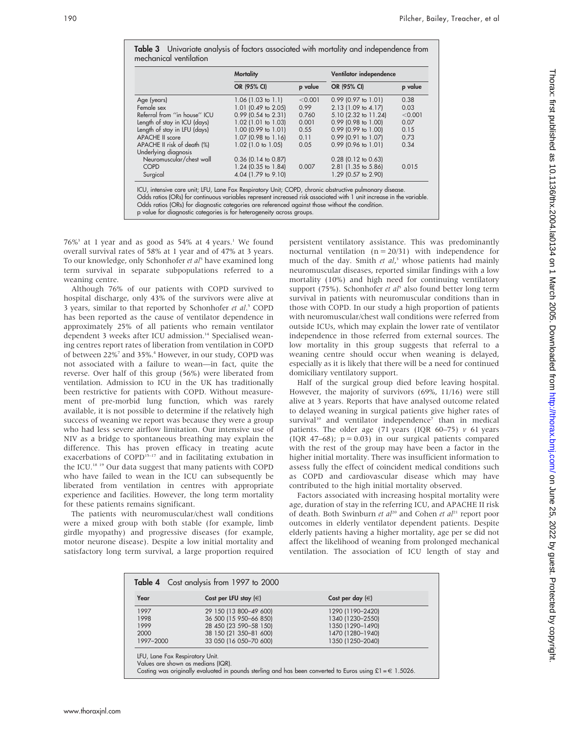|                              | <b>Mortality</b>      |         | Ventilator independence |         |
|------------------------------|-----------------------|---------|-------------------------|---------|
|                              | OR (95% CI)           | p value | OR (95% CI)             | p value |
| Age (years)                  | 1.06 (1.03 to 1.1)    | < 0.001 | $0.99$ (0.97 to 1.01)   | 0.38    |
| Female sex                   | 1.01 (0.49 to 2.05)   | 0.99    | 2.13 (1.09 to 4.17)     | 0.03    |
| Referral from "in house" ICU | $0.99$ (0.54 to 2.31) | 0.760   | 5.10 (2.32 to 11.24)    | < 0.001 |
| Length of stay in ICU (days) | 1.02 (1.01 to 1.03)   | 0.001   | $0.99$ (0.98 to 1.00)   | 0.07    |
| Length of stay in LFU (days) | 1.00 (0.99 to 1.01)   | 0.55    | $0.99$ (0.99 to 1.00)   | 0.15    |
| <b>APACHE II score</b>       | 1.07 (0.98 to 1.16)   | 0.11    | $0.99$ (0.91 to 1.07)   | 0.73    |
| APACHE II risk of death (%)  | 1.02 (1.0 to 1.05)    | 0.05    | $0.99$ (0.96 to 1.01)   | 0.34    |
| Underlying diagnosis         |                       |         |                         |         |
| Neuromuscular/chest wall     | $0.36$ (0.14 to 0.87) |         | $0.28$ (0.12 to 0.63)   |         |
| <b>COPD</b>                  | 1.24 (0.35 to 1.84)   | 0.007   | 2.81 (1.35 to 5.86)     | 0.015   |
| Surgical                     | 4.04 (1.79 to 9.10)   |         | 1.29 (0.57 to 2.90)     |         |

Table 3 Univariate analysis of factors associated with mortality and independence from

 $76\%$ <sup>3</sup> at 1 year and as good as  $54\%$  at 4 years.<sup>1</sup> We found overall survival rates of 58% at 1 year and of 47% at 3 years. To our knowledge, only Schonhofer et  $aI<sup>5</sup>$  have examined long term survival in separate subpopulations referred to a weaning centre.

Although 76% of our patients with COPD survived to hospital discharge, only 43% of the survivors were alive at 3 years, similar to that reported by Schonhofer et al.<sup>5</sup> COPD has been reported as the cause of ventilator dependence in approximately 25% of all patients who remain ventilator dependent 3 weeks after ICU admission.<sup>14</sup> Specialised weaning centres report rates of liberation from ventilation in COPD of between 22%<sup>7</sup> and 35%.<sup>4</sup> However, in our study, COPD was not associated with a failure to wean—in fact, quite the reverse. Over half of this group (56%) were liberated from ventilation. Admission to ICU in the UK has traditionally been restrictive for patients with COPD. Without measurement of pre-morbid lung function, which was rarely available, it is not possible to determine if the relatively high success of weaning we report was because they were a group who had less severe airflow limitation. Our intensive use of NIV as a bridge to spontaneous breathing may explain the difference. This has proven efficacy in treating acute exacerbations of COPD<sup>15-17</sup> and in facilitating extubation in the ICU.18 19 Our data suggest that many patients with COPD who have failed to wean in the ICU can subsequently be liberated from ventilation in centres with appropriate experience and facilities. However, the long term mortality for these patients remains significant.

The patients with neuromuscular/chest wall conditions were a mixed group with both stable (for example, limb girdle myopathy) and progressive diseases (for example, motor neurone disease). Despite a low initial mortality and satisfactory long term survival, a large proportion required

persistent ventilatory assistance. This was predominantly nocturnal ventilation  $(n = 20/31)$  with independence for much of the day. Smith et al,<sup>3</sup> whose patients had mainly neuromuscular diseases, reported similar findings with a low mortality (10%) and high need for continuing ventilatory support (75%). Schonhofer et al<sup>5</sup> also found better long term survival in patients with neuromuscular conditions than in those with COPD. In our study a high proportion of patients with neuromuscular/chest wall conditions were referred from outside ICUs, which may explain the lower rate of ventilator independence in those referred from external sources. The low mortality in this group suggests that referral to a weaning centre should occur when weaning is delayed, especially as it is likely that there will be a need for continued domiciliary ventilatory support.

Half of the surgical group died before leaving hospital. However, the majority of survivors (69%, 11/16) were still alive at 3 years. Reports that have analysed outcome related to delayed weaning in surgical patients give higher rates of survival<sup>10</sup> and ventilator independence<sup>7</sup> than in medical patients. The older age (71 years (IQR  $60-75$ )  $\nu$  61 years (IQR 47–68);  $p = 0.03$ ) in our surgical patients compared with the rest of the group may have been a factor in the higher initial mortality. There was insufficient information to assess fully the effect of coincident medical conditions such as COPD and cardiovascular disease which may have contributed to the high initial mortality observed.

Factors associated with increasing hospital mortality were age, duration of stay in the referring ICU, and APACHE II risk of death. Both Swinburn et  $al^{20}$  and Cohen et  $al^{21}$  report poor outcomes in elderly ventilator dependent patients. Despite elderly patients having a higher mortality, age per se did not affect the likelihood of weaning from prolonged mechanical ventilation. The association of ICU length of stay and

| Year      | Cost per LFU stay $(\in)$ | Cost per day $(\in)$ |
|-----------|---------------------------|----------------------|
| 1997      | 29 150 (13 800-49 600)    | 1290 (1190-2420)     |
| 1998      | 36 500 (15 950-66 850)    | 1340 (1230-2550)     |
| 1999      | 28 450 (23 590-58 150)    | 1350 (1290-1490)     |
| 2000      | 38 150 (21 350-81 600)    | 1470 (1280-1940)     |
| 1997-2000 | 33 050 (16 050-70 600)    | 1350 (1250-2040)     |

Values are shown as medians (IQR).

Costing was originally evaluated in pounds sterling and has been converted to Euros using £1 =  $\in$  1.5026.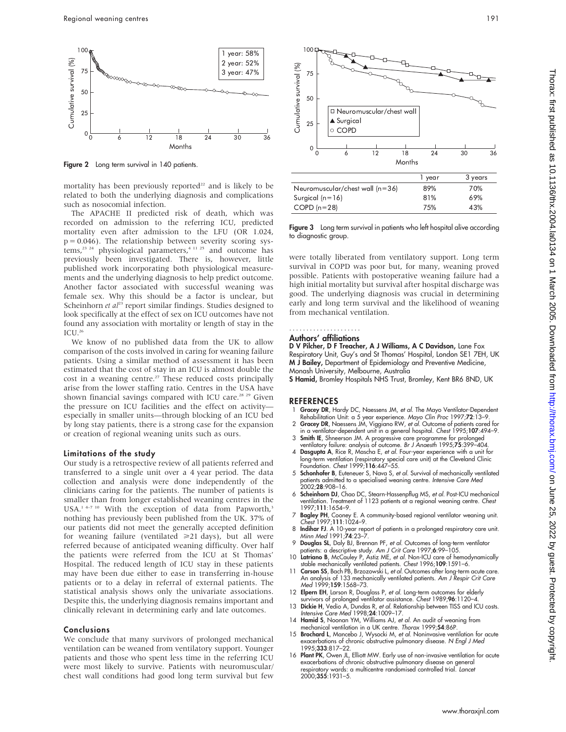

Figure 2 Long term survival in 140 patients.

mortality has been previously reported $22$  and is likely to be related to both the underlying diagnosis and complications such as nosocomial infection.

The APACHE II predicted risk of death, which was recorded on admission to the referring ICU, predicted mortality even after admission to the LFU (OR 1.024,  $p = 0.046$ ). The relationship between severity scoring systems,<sup>23</sup> <sup>24</sup> physiological parameters,<sup>4 11 25</sup> and outcome has previously been investigated. There is, however, little published work incorporating both physiological measurements and the underlying diagnosis to help predict outcome. Another factor associated with successful weaning was female sex. Why this should be a factor is unclear, but Scheinhorn et  $a^{23}$  report similar findings. Studies designed to look specifically at the effect of sex on ICU outcomes have not found any association with mortality or length of stay in the  $ICU.<sup>26</sup>$ 

We know of no published data from the UK to allow comparison of the costs involved in caring for weaning failure patients. Using a similar method of assessment it has been estimated that the cost of stay in an ICU is almost double the cost in a weaning centre.<sup>27</sup> These reduced costs principally arise from the lower staffing ratio. Centres in the USA have shown financial savings compared with ICU care.<sup>28 29</sup> Given the pressure on ICU facilities and the effect on activity especially in smaller units—through blocking of an ICU bed by long stay patients, there is a strong case for the expansion or creation of regional weaning units such as ours.

#### Limitations of the study

Our study is a retrospective review of all patients referred and transferred to a single unit over a 4 year period. The data collection and analysis were done independently of the clinicians caring for the patients. The number of patients is smaller than from longer established weaning centres in the USA.<sup>1 4-7 10</sup> With the exception of data from Papworth,<sup>3</sup> nothing has previously been published from the UK. 37% of our patients did not meet the generally accepted definition for weaning failure (ventilated  $\geq 21$  days), but all were referred because of anticipated weaning difficulty. Over half the patients were referred from the ICU at St Thomas' Hospital. The reduced length of ICU stay in these patients may have been due either to ease in transferring in-house patients or to a delay in referral of external patients. The statistical analysis shows only the univariate associations. Despite this, the underlying diagnosis remains important and clinically relevant in determining early and late outcomes.

### Conclusions

We conclude that many survivors of prolonged mechanical ventilation can be weaned from ventilatory support. Younger patients and those who spent less time in the referring ICU were most likely to survive. Patients with neuromuscular/ chest wall conditions had good long term survival but few



|                                 | i vear | 3 years |
|---------------------------------|--------|---------|
| Neuromuscular/chest wall (n=36) | 89%    | 70%     |
| Surgical $(n=16)$               | 81%    | 69%     |
| $COPD(n=28)$                    | 75%    | 43%     |
|                                 |        |         |

Figure 3 Long term survival in patients who left hospital alive according to diagnostic group.

were totally liberated from ventilatory support. Long term survival in COPD was poor but, for many, weaning proved possible. Patients with postoperative weaning failure had a high initial mortality but survival after hospital discharge was good. The underlying diagnosis was crucial in determining early and long term survival and the likelihood of weaning from mechanical ventilation.

## .....................

## Authors' affiliations

D V Pilcher, D F Treacher, A J Williams, A C Davidson, Lane Fox Respiratory Unit, Guy's and St Thomas' Hospital, London SE1 7EH, UK M J Bailey, Department of Epidemiology and Preventive Medicine, Monash University, Melbourne, Australia

S Hamid, Bromley Hospitals NHS Trust, Bromley, Kent BR6 8ND, UK

#### **REFERENCES**

- Gracey DR, Hardy DC, Naessens JM, et al. The Mayo Ventilator-Dependent Rehabilitation Unit: a 5 year experience. Mayo Clin Proc 1997;72:13-9.
- 2 Gracey DR, Naessens JM, Viggiano RW, et al. Outcome of patients cared for in a ventilator-dependent unit in a general hospital. Chest 1995;107:494–9.
- 3 Smith IE, Shneerson JM. A progressive care programme for prolonged ventilatory tailure: analysis of outcome. *Br J Anaesth* 1995;**75**:399–404.<br>4 Dasgupta A, Rice R, Mascha E, *et al.* Four-year experience with a unit for
- long-term ventilation (respiratory special care unit) at the Cleveland Clinic Foundation. Chest 1999;116:447–55.
- 5 Schonhofer B, Euteneuer S, Nava S, et al. Survival of mechanically ventilated patients admitted to a specialised weaning centre. Intensive Care Med 2002;28:908–16.
- 6 Scheinhorn DJ, Chao DC, Stearn-Hassenpflug MS, et al. Post-ICU mechanical ventilation. Treatment of 1123 patients at a regional weaning centre. Chest 1997;111:1654–9.
- 7 Bagley PH, Cooney E. A community-based regional ventilator weaning unit. Chest 1997;111:1024–9.
- 8 Indihar FJ. A 10-year report of patients in a prolonged respiratory care unit. Minn Med 1991;74:23–7.
- 9 Douglas SL, Daly BJ, Brennan PF, et al. Outcomes of long-term ventilator patients: a descriptive study. Am J Crit Care 1997;6:99–105. 10 Latriano B, McCauley P, Astiz ME, et al. Non-ICU care of hemodynamically
- stable mechanically ventilated patients. Chest 1996;109:1591–6.
- Carson SS, Bach PB, Brzozowski L, et al. Outcomes after long-term acute care. An analysis of 133 mechanically ventilated patients. Am J Respir Crit Care Med 1999;159:1568-73.
- 12 Elpern EH, Larson R, Douglass P, et al. Long-term outcomes for elderly rvivors of prolonged ventilator assistance. Chest 1989;96:1120-4
- 13 Dickie H, Vedio A, Dundas R, et al. Relationship between TISS and ICU costs. Intensive Care Med 1998;24:1009–17.
- Hamid S, Noonan YM, Williams AJ, et al. An audit of weaning from mechanical ventilation in a UK centre. Thorax 1999;54:86P.
- 15 **Brochard L**, Mancebo J, Wysocki M, et al. Noninvasive ventilation for acute exacerbations of chronic obstructive pulmonary disease. N Engl J Med 1995;333:817–22.
- 16 Plant PK, Owen JL, Elliott MW. Early use of non-invasive ventilation for acute exacerbations of chronic obstructive pulmonary disease on general respiratory wards: a multicentre randomised controlled trial. *Lancet*<br>2000;**355**:1931–5.